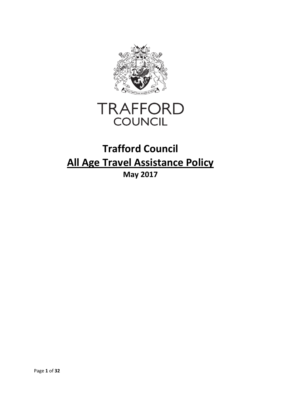

# **TRAFFORD COUNCIL**

# **Trafford Council All Age Travel Assistance Policy May 2017**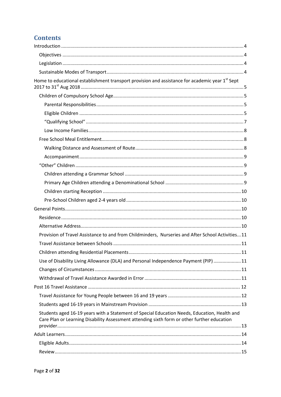# **Contents**

| Home to educational establishment transport provision and assistance for academic year 1 <sup>st</sup> Sept                                                                                 |  |
|---------------------------------------------------------------------------------------------------------------------------------------------------------------------------------------------|--|
|                                                                                                                                                                                             |  |
|                                                                                                                                                                                             |  |
|                                                                                                                                                                                             |  |
|                                                                                                                                                                                             |  |
|                                                                                                                                                                                             |  |
|                                                                                                                                                                                             |  |
|                                                                                                                                                                                             |  |
|                                                                                                                                                                                             |  |
|                                                                                                                                                                                             |  |
|                                                                                                                                                                                             |  |
|                                                                                                                                                                                             |  |
|                                                                                                                                                                                             |  |
|                                                                                                                                                                                             |  |
|                                                                                                                                                                                             |  |
|                                                                                                                                                                                             |  |
|                                                                                                                                                                                             |  |
| Provision of Travel Assistance to and from Childminders, Nurseries and After School Activities11                                                                                            |  |
|                                                                                                                                                                                             |  |
|                                                                                                                                                                                             |  |
| Use of Disability Living Allowance (DLA) and Personal Independence Payment (PIP) 11                                                                                                         |  |
|                                                                                                                                                                                             |  |
|                                                                                                                                                                                             |  |
|                                                                                                                                                                                             |  |
|                                                                                                                                                                                             |  |
|                                                                                                                                                                                             |  |
| Students aged 16-19 years with a Statement of Special Education Needs, Education, Health and<br>Care Plan or Learning Disability Assessment attending sixth form or other further education |  |
|                                                                                                                                                                                             |  |
|                                                                                                                                                                                             |  |
|                                                                                                                                                                                             |  |
|                                                                                                                                                                                             |  |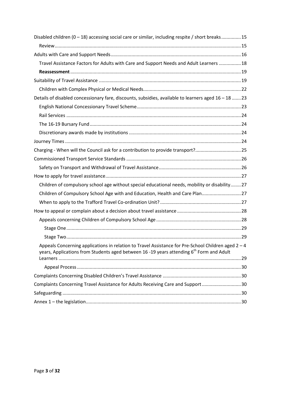| Disabled children $(0-18)$ accessing social care or similar, including respite / short breaks15                                                                                                           |  |
|-----------------------------------------------------------------------------------------------------------------------------------------------------------------------------------------------------------|--|
|                                                                                                                                                                                                           |  |
|                                                                                                                                                                                                           |  |
| Travel Assistance Factors for Adults with Care and Support Needs and Adult Learners  18                                                                                                                   |  |
|                                                                                                                                                                                                           |  |
|                                                                                                                                                                                                           |  |
|                                                                                                                                                                                                           |  |
| Details of disabled concessionary fare, discounts, subsidies, available to learners aged 16 - 18 23                                                                                                       |  |
|                                                                                                                                                                                                           |  |
|                                                                                                                                                                                                           |  |
|                                                                                                                                                                                                           |  |
|                                                                                                                                                                                                           |  |
|                                                                                                                                                                                                           |  |
| Charging - When will the Council ask for a contribution to provide transport?25                                                                                                                           |  |
|                                                                                                                                                                                                           |  |
|                                                                                                                                                                                                           |  |
|                                                                                                                                                                                                           |  |
| Children of compulsory school age without special educational needs, mobility or disability27                                                                                                             |  |
| Children of Compulsory School Age with and Education, Health and Care Plan 27                                                                                                                             |  |
|                                                                                                                                                                                                           |  |
|                                                                                                                                                                                                           |  |
|                                                                                                                                                                                                           |  |
|                                                                                                                                                                                                           |  |
|                                                                                                                                                                                                           |  |
| Appeals Concerning applications in relation to Travel Assistance for Pre-School Children aged 2-4<br>years, Applications from Students aged between 16 -19 years attending 6 <sup>th</sup> Form and Adult |  |
|                                                                                                                                                                                                           |  |
|                                                                                                                                                                                                           |  |
|                                                                                                                                                                                                           |  |
| Complaints Concerning Travel Assistance for Adults Receiving Care and Support30                                                                                                                           |  |
|                                                                                                                                                                                                           |  |
|                                                                                                                                                                                                           |  |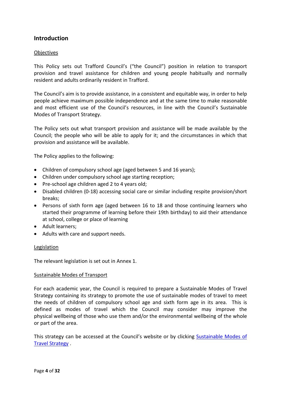## <span id="page-3-0"></span>**Introduction**

#### <span id="page-3-1"></span>Objectives

This Policy sets out Trafford Council's ("the Council") position in relation to transport provision and travel assistance for children and young people habitually and normally resident and adults ordinarily resident in Trafford.

The Council's aim is to provide assistance, in a consistent and equitable way, in order to help people achieve maximum possible independence and at the same time to make reasonable and most efficient use of the Council's resources, in line with the Council's Sustainable Modes of Transport Strategy.

The Policy sets out what transport provision and assistance will be made available by the Council; the people who will be able to apply for it; and the circumstances in which that provision and assistance will be available.

The Policy applies to the following:

- Children of compulsory school age (aged between 5 and 16 years);
- Children under compulsory school age starting reception;
- Pre-school age children aged 2 to 4 years old;
- Disabled children (0-18) accessing social care or similar including respite provision/short breaks;
- Persons of sixth form age (aged between 16 to 18 and those continuing learners who started their programme of learning before their 19th birthday) to aid their attendance at school, college or place of learning
- Adult learners;
- Adults with care and support needs.

#### <span id="page-3-2"></span>Legislation

The relevant legislation is set out in Annex 1.

#### <span id="page-3-3"></span>Sustainable Modes of Transport

For each academic year, the Council is required to prepare a Sustainable Modes of Travel Strategy containing its strategy to promote the use of sustainable modes of travel to meet the needs of children of compulsory school age and sixth form age in its area. This is defined as modes of travel which the Council may consider may improve the physical wellbeing of those who use them and/or the environmental wellbeing of the whole or part of the area.

This strategy can be accessed at the Council's website or by clicking [Sustainable Modes of](http://www.trafford.gov.uk/residents/schools/schools-in-trafford/docs/sustainable-modes-of-travel-strategy.pdf)  [Travel Strategy](http://www.trafford.gov.uk/residents/schools/schools-in-trafford/docs/sustainable-modes-of-travel-strategy.pdf) .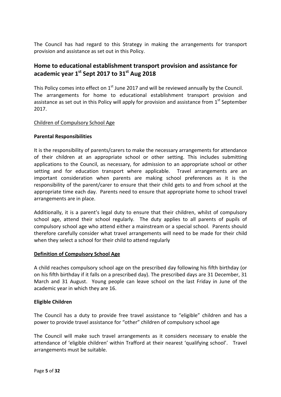The Council has had regard to this Strategy in making the arrangements for transport provision and assistance as set out in this Policy.

## <span id="page-4-0"></span>**Home to educational establishment transport provision and assistance for academic year 1st Sept 2017 to 31st Aug 2018**

This Policy comes into effect on  $1<sup>st</sup>$  June 2017 and will be reviewed annually by the Council. The arrangements for home to educational establishment transport provision and assistance as set out in this Policy will apply for provision and assistance from  $1<sup>st</sup>$  September 2017.

#### <span id="page-4-1"></span>Children of Compulsory School Age

#### <span id="page-4-2"></span>**Parental Responsibilities**

It is the responsibility of parents/carers to make the necessary arrangements for attendance of their children at an appropriate school or other setting. This includes submitting applications to the Council, as necessary, for admission to an appropriate school or other setting and for education transport where applicable. Travel arrangements are an important consideration when parents are making school preferences as it is the responsibility of the parent/carer to ensure that their child gets to and from school at the appropriate time each day. Parents need to ensure that appropriate home to school travel arrangements are in place.

Additionally, it is a parent's legal duty to ensure that their children, whilst of compulsory school age, attend their school regularly. The duty applies to all parents of pupils of compulsory school age who attend either a mainstream or a special school. Parents should therefore carefully consider what travel arrangements will need to be made for their child when they select a school for their child to attend regularly

#### **Definition of Compulsory School Age**

A child reaches compulsory school age on the prescribed day following his fifth birthday (or on his fifth birthday if it falls on a prescribed day). The prescribed days are 31 December, 31 March and 31 August.Young people can leave school on the last Friday in June of the academic year in which they are 16.

#### <span id="page-4-3"></span>**Eligible Children**

The Council has a duty to provide free travel assistance to "eligible" children and has a power to provide travel assistance for "other" children of compulsory school age

The Council will make such travel arrangements as it considers necessary to enable the attendance of 'eligible children' within Trafford at their nearest 'qualifying school'. Travel arrangements must be suitable.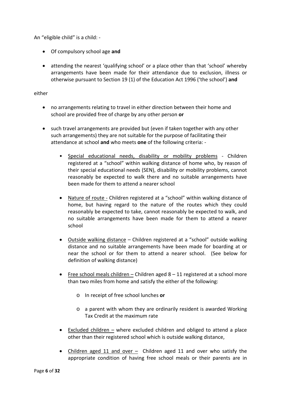An "eligible child" is a child: -

- Of compulsory school age **and**
- attending the nearest 'qualifying school' or a place other than that 'school' whereby arrangements have been made for their attendance due to exclusion, illness or otherwise pursuant to Section 19 (1) of the Education Act 1996 ('the school') **and**

either

- no arrangements relating to travel in either direction between their home and school are provided free of charge by any other person **or**
- such travel arrangements are provided but (even if taken together with any other such arrangements) they are not suitable for the purpose of facilitating their attendance at school **and** who meets **one** of the following criteria: -
	- Special educational needs, disability or mobility problems Children registered at a "school" within walking distance of home who, by reason of their special educational needs (SEN), disability or mobility problems, cannot reasonably be expected to walk there and no suitable arrangements have been made for them to attend a nearer school
	- Nature of route Children registered at a "school" within walking distance of home, but having regard to the nature of the routes which they could reasonably be expected to take, cannot reasonably be expected to walk, and no suitable arrangements have been made for them to attend a nearer school
	- Outside walking distance Children registered at a "school" outside walking distance and no suitable arrangements have been made for boarding at or near the school or for them to attend a nearer school. (See below for definition of walking distance)
	- Free school meals children Children aged  $8 11$  registered at a school more than two miles from home and satisfy the either of the following:
		- o In receipt of free school lunches **or**
		- o a parent with whom they are ordinarily resident is awarded Working Tax Credit at the maximum rate
	- Excluded children  $-$  where excluded children and obliged to attend a place other than their registered school which is outside walking distance,
	- Children aged 11 and over Children aged 11 and over who satisfy the appropriate condition of having free school meals or their parents are in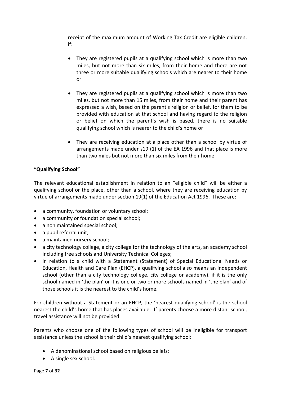receipt of the maximum amount of Working Tax Credit are eligible children, if:

- They are registered pupils at a qualifying school which is more than two miles, but not more than six miles, from their home and there are not three or more suitable qualifying schools which are nearer to their home or
- They are registered pupils at a qualifying school which is more than two miles, but not more than 15 miles, from their home and their parent has expressed a wish, based on the parent's religion or belief, for them to be provided with education at that school and having regard to the religion or belief on which the parent's wish is based, there is no suitable qualifying school which is nearer to the child's home or
- They are receiving education at a place other than a school by virtue of arrangements made under s19 (1) of the EA 1996 and that place is more than two miles but not more than six miles from their home

## <span id="page-6-0"></span>**"Qualifying School"**

The relevant educational establishment in relation to an "eligible child" will be either a qualifying school or the place, other than a school, where they are receiving education by virtue of arrangements made under section 19(1) of the Education Act 1996. These are:

- a community, foundation or voluntary school;
- a community or foundation special school;
- a non maintained special school;
- a pupil referral unit;
- a maintained nursery school;
- a city technology college, a city college for the technology of the arts, an academy school including free schools and University Technical Colleges;
- in relation to a child with a Statement (Statement) of Special Educational Needs or Education, Health and Care Plan (EHCP), a qualifying school also means an independent school (other than a city technology college, city college or academy), if it is the only school named in 'the plan' or it is one or two or more schools named in 'the plan' and of those schools it is the nearest to the child's home.

For children without a Statement or an EHCP, the 'nearest qualifying school' is the school nearest the child's home that has places available. If parents choose a more distant school, travel assistance will not be provided.

Parents who choose one of the following types of school will be ineligible for transport assistance unless the school is their child's nearest qualifying school:

- A denominational school based on religious beliefs;
- A single sex school.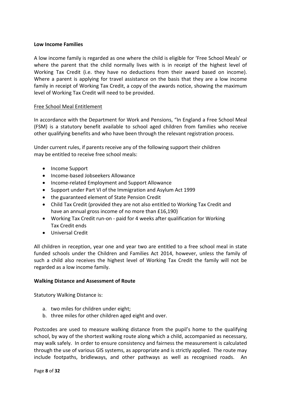#### <span id="page-7-0"></span>**Low Income Families**

A low income family is regarded as one where the child is eligible for 'Free School Meals' or where the parent that the child normally lives with is in receipt of the highest level of Working Tax Credit (i.e. they have no deductions from their award based on income). Where a parent is applying for travel assistance on the basis that they are a low income family in receipt of Working Tax Credit, a copy of the awards notice, showing the maximum level of Working Tax Credit will need to be provided.

#### <span id="page-7-1"></span>Free School Meal Entitlement

In accordance with the Department for Work and Pensions, "In England a Free School Meal (FSM) is a statutory benefit available to school aged children from families who receive other qualifying benefits and who have been through the relevant registration process.

Under current rules, if parents receive any of the following support their children may be entitled to receive free school meals:

- Income Support
- Income-based Jobseekers Allowance
- Income-related Employment and Support Allowance
- Support under Part VI of the Immigration and Asylum Act 1999
- the guaranteed element of State Pension Credit
- Child Tax Credit (provided they are not also entitled to Working Tax Credit and have an annual gross income of no more than £16,190)
- Working Tax Credit run-on paid for 4 weeks after qualification for Working Tax Credit ends
- Universal Credit

All children in reception, year one and year two are entitled to a free school meal in state funded schools under the Children and Families Act 2014, however, unless the family of such a child also receives the highest level of Working Tax Credit the family will not be regarded as a low income family.

#### <span id="page-7-2"></span>**Walking Distance and Assessment of Route**

Statutory Walking Distance is:

- a. two miles for children under eight;
- b. three miles for other children aged eight and over.

Postcodes are used to measure walking distance from the pupil's home to the qualifying school, by way of the shortest walking route along which a child, accompanied as necessary, may walk safely. In order to ensure consistency and fairness the measurement is calculated through the use of various GIS systems, as appropriate and is strictly applied. The route may include footpaths, bridleways, and other pathways as well as recognised roads. An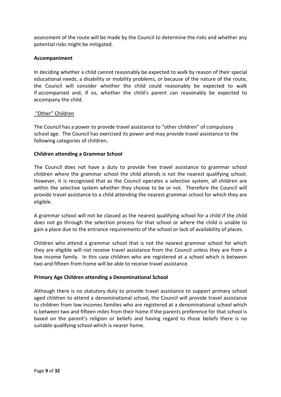assessment of the route will be made by the Council to determine the risks and whether any potential risks might be mitigated.

#### <span id="page-8-0"></span>**Accompaniment**

In deciding whether a child cannot reasonably be expected to walk by reason of their special educational needs, a disability or mobility problems, or because of the nature of the route, the Council will consider whether the child could reasonably be expected to walk if accompanied and, if so, whether the child's parent can reasonably be expected to accompany the child.

#### <span id="page-8-1"></span>"Other" Children

The Council has a power to provide travel assistance to "other children" of compulsory school age. The Council has exercised its power and may provide travel assistance to the following categories of children**.**

#### <span id="page-8-2"></span>**Children attending a Grammar School**

The Council does not have a duty to provide free travel assistance to grammar school children where the grammar school the child attends is not the nearest qualifying school. However, it is recognised that as the Council operates a selective system, all children are within the selective system whether they choose to be or not. Therefore the Council will provide travel assistance to a child attending the nearest grammar school for which they are eligible.

A grammar school will not be classed as the nearest qualifying school for a child if the child does not go through the selection process for that school or where the child is unable to gain a place due to the entrance requirements of the school or lack of availability of places.

Children who attend a grammar school that is not the nearest grammar school for which they are eligible will not receive travel assistance from the Council unless they are from a low income family. In this case children who are registered at a school which is between two and fifteen from home will be able to receive travel assistance.

#### <span id="page-8-3"></span>**Primary Age Children attending a Denominational School**

Although there is no statutory duty to provide travel assistance to support primary school aged children to attend a denominational school, the Council will provide travel assistance to children from low incomes families who are registered at a denominational school which is between two and fifteen miles from their home if the parents preference for that school is based on the parent's religion or beliefs and having regard to those beliefs there is no suitable qualifying school which is nearer home.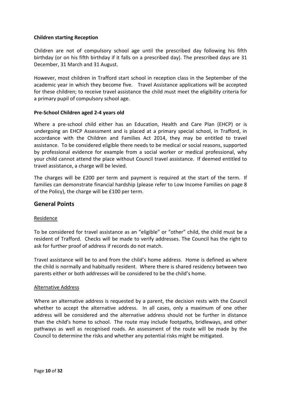#### <span id="page-9-0"></span>**Children starting Reception**

Children are not of compulsory school age until the prescribed day following his fifth birthday (or on his fifth birthday if it falls on a prescribed day). The prescribed days are 31 December, 31 March and 31 August.

However, most children in Trafford start school in reception class in the September of the academic year in which they become five. Travel Assistance applications will be accepted for these children; to receive travel assistance the child must meet the eligibility criteria for a primary pupil of compulsory school age.

#### <span id="page-9-1"></span>**Pre-School Children aged 2-4 years old**

Where a pre-school child either has an Education, Health and Care Plan (EHCP) or is undergoing an EHCP Assessment and is placed at a primary special school, in Trafford, in accordance with the Children and Families Act 2014, they may be entitled to travel assistance. To be considered eligible there needs to be medical or social reasons, supported by professional evidence for example from a social worker or medical professional, why your child cannot attend the place without Council travel assistance. If deemed entitled to travel assistance, a charge will be levied.

The charges will be £200 per term and payment is required at the start of the term. If families can demonstrate financial hardship (please refer to Low Income Families on page 8 of the Policy), the charge will be £100 per term.

### <span id="page-9-2"></span>**General Points**

#### <span id="page-9-3"></span>Residence

To be considered for travel assistance as an "eligible" or "other" child, the child must be a resident of Trafford. Checks will be made to verify addresses. The Council has the right to ask for further proof of address if records do not match.

Travel assistance will be to and from the child's home address. Home is defined as where the child is normally and habitually resident. Where there is shared residency between two parents either or both addresses will be considered to be the child's home.

#### <span id="page-9-4"></span>Alternative Address

Where an alternative address is requested by a parent, the decision rests with the Council whether to accept the alternative address. In all cases, only a maximum of one other address will be considered and the alternative address should not be further in distance than the child's home to school. The route may include footpaths, bridleways, and other pathways as well as recognised roads. An assessment of the route will be made by the Council to determine the risks and whether any potential risks might be mitigated.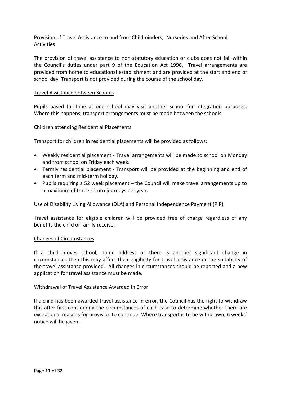## <span id="page-10-0"></span>Provision of Travel Assistance to and from Childminders, Nurseries and After School Activities

The provision of travel assistance to non-statutory education or clubs does not fall within the Council's duties under part 9 of the Education Act 1996. Travel arrangements are provided from home to educational establishment and are provided at the start and end of school day. Transport is not provided during the course of the school day.

#### <span id="page-10-1"></span>Travel Assistance between Schools

Pupils based full-time at one school may visit another school for integration purposes. Where this happens, transport arrangements must be made between the schools.

#### <span id="page-10-2"></span>Children attending Residential Placements

Transport for children in residential placements will be provided as follows:

- Weekly residential placement Travel arrangements will be made to school on Monday and from school on Friday each week.
- Termly residential placement Transport will be provided at the beginning and end of each term and mid-term holiday.
- Pupils requiring a 52 week placement the Council will make travel arrangements up to a maximum of three return journeys per year.

#### <span id="page-10-3"></span>Use of Disability Living Allowance (DLA) and Personal Independence Payment (PIP)

Travel assistance for eligible children will be provided free of charge regardless of any benefits the child or family receive.

#### <span id="page-10-4"></span>Changes of Circumstances

If a child moves school, home address or there is another significant change in circumstances then this may affect their eligibility for travel assistance or the suitability of the travel assistance provided. All changes in circumstances should be reported and a new application for travel assistance must be made.

#### <span id="page-10-5"></span>Withdrawal of Travel Assistance Awarded in Error

If a child has been awarded travel assistance in error, the Council has the right to withdraw this after first considering the circumstances of each case to determine whether there are exceptional reasons for provision to continue. Where transport is to be withdrawn, 6 weeks' notice will be given.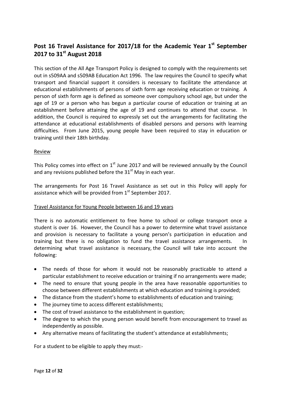# <span id="page-11-0"></span>Post 16 Travel Assistance for 2017/18 for the Academic Year 1<sup>st</sup> September **2017 to 31st August 2018**

This section of the All Age Transport Policy is designed to comply with the requirements set out in s509AA and s509AB Education Act 1996. The law requires the Council to specify what transport and financial support it considers is necessary to facilitate the attendance at educational establishments of persons of sixth form age receiving education or training. A person of sixth form age is defined as someone over compulsory school age, but under the age of 19 or a person who has begun a particular course of education or training at an establishment before attaining the age of 19 and continues to attend that course. In addition, the Council is required to expressly set out the arrangements for facilitating the attendance at educational establishments of disabled persons and persons with learning difficulties. From June 2015, young people have been required to stay in education or training until their 18th birthday.

#### **Review**

This Policy comes into effect on  $1<sup>st</sup>$  June 2017 and will be reviewed annually by the Council and any revisions published before the  $31<sup>st</sup>$  May in each year.

The arrangements for Post 16 Travel Assistance as set out in this Policy will apply for assistance which will be provided from  $1<sup>st</sup>$  September 2017.

#### <span id="page-11-1"></span>Travel Assistance for Young People between 16 and 19 years

There is no automatic entitlement to free home to school or college transport once a student is over 16. However, the Council has a power to determine what travel assistance and provision is necessary to facilitate a young person's participation in education and training but there is no obligation to fund the travel assistance arrangements. In determining what travel assistance is necessary, the Council will take into account the following:

- The needs of those for whom it would not be reasonably practicable to attend a particular establishment to receive education or training if no arrangements were made;
- The need to ensure that young people in the area have reasonable opportunities to choose between different establishments at which education and training is provided;
- The distance from the student's home to establishments of education and training;
- The journey time to access different establishments;
- The cost of travel assistance to the establishment in question;
- The degree to which the young person would benefit from encouragement to travel as independently as possible.
- Any alternative means of facilitating the student's attendance at establishments;

For a student to be eligible to apply they must:-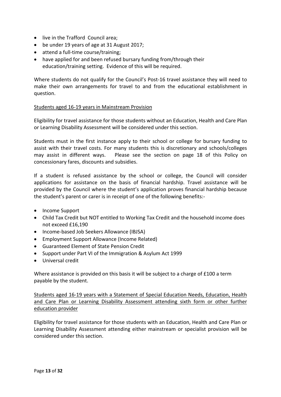- live in the Trafford Council area;
- be under 19 years of age at 31 August 2017;
- attend a full-time course/training;
- have applied for and been refused bursary funding from/through their education/training setting. Evidence of this will be required.

Where students do not qualify for the Council's Post-16 travel assistance they will need to make their own arrangements for travel to and from the educational establishment in question.

#### <span id="page-12-0"></span>Students aged 16-19 years in Mainstream Provision

Eligibility for travel assistance for those students without an Education, Health and Care Plan or Learning Disability Assessment will be considered under this section.

Students must in the first instance apply to their school or college for bursary funding to assist with their travel costs. For many students this is discretionary and schools/colleges may assist in different ways. Please see the section on page 18 of this Policy on concessionary fares, discounts and subsidies.

If a student is refused assistance by the school or college, the Council will consider applications for assistance on the basis of financial hardship. Travel assistance will be provided by the Council where the student's application proves financial hardship because the student's parent or carer is in receipt of one of the following benefits:-

- Income Support
- Child Tax Credit but NOT entitled to Working Tax Credit and the household income does not exceed £16,190
- Income-based Job Seekers Allowance (IBJSA)
- Employment Support Allowance (Income Related)
- Guaranteed Element of State Pension Credit
- Support under Part VI of the Immigration & Asylum Act 1999
- Universal credit

Where assistance is provided on this basis it will be subject to a charge of £100 a term payable by the student.

<span id="page-12-1"></span>Students aged 16-19 years with a Statement of Special Education Needs, Education, Health and Care Plan or Learning Disability Assessment attending sixth form or other further education provider

Eligibility for travel assistance for those students with an Education, Health and Care Plan or Learning Disability Assessment attending either mainstream or specialist provision will be considered under this section.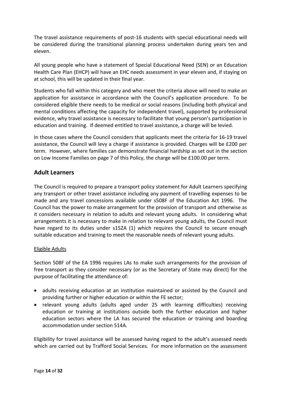The travel assistance requirements of post-16 students with special educational needs will be considered during the transitional planning process undertaken during years ten and eleven.

All young people who have a statement of Special Educational Need (SEN) or an Education Health Care Plan (EHCP) will have an EHC needs assessment in year eleven and, if staying on at school, this will be updated in their final year.

Students who fall within this category and who meet the criteria above will need to make an application for assistance in accordance with the Council's application procedure. To be considered eligible there needs to be medical or social reasons (including both physical and mental conditions affecting the capacity for independent travel), supported by professional evidence, why travel assistance is necessary to facilitate that young person's participation in education and training. If deemed entitled to travel assistance, a charge will be levied.

In those cases where the Council considers that applicants meet the criteria for 16-19 travel assistance, the Council will levy a charge if assistance is provided. Charges will be £200 per term. However, where families can demonstrate financial hardship as set out in the section on Low Income Families on page 7 of this Policy, the charge will be £100.00 per term.

### <span id="page-13-0"></span>**Adult Learners**

The Council is required to prepare a transport policy statement for Adult Learners specifying any transport or other travel assistance including any payment of travelling expenses to be made and any travel concessions available under s508F of the Education Act 1996. The Council has the power to make arrangement for the provision of transport and otherwise as it considers necessary in relation to adults and relevant young adults. In considering what arrangements it is necessary to make in relation to relevant young adults, the Council must have regard to its duties under s15ZA (1) which requires the Council to secure enough suitable education and training to meet the reasonable needs of relevant young adults.

### <span id="page-13-1"></span>Eligible Adults

Section 508F of the EA 1996 requires LAs to make such arrangements for the provision of free transport as they consider necessary (or as the Secretary of State may direct) for the purpose of facilitating the attendance of:

- adults receiving education at an institution maintained or assisted by the Council and providing further or higher education or within the FE sector;
- relevant young adults (adults aged under 25 with learning difficulties) receiving education or training at institutions outside both the further education and higher education sectors where the LA has secured the education or training and boarding accommodation under section 514A.

Eligibility for travel assistance will be assessed having regard to the adult's assessed needs which are carried out by Trafford Social Services. For more information on the assessment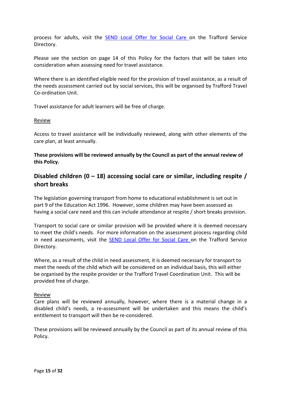process for adults, visit the [SEND Local Offer for Social Care o](http://www.trafforddirectory.co.uk/kb5/trafford/fsd/advice.page?id=OR36yqIoxxQ)n the Trafford Service Directory.

Please see the section on page 14 of this Policy for the factors that will be taken into consideration when assessing need for travel assistance.

Where there is an identified eligible need for the provision of travel assistance, as a result of the needs assessment carried out by social services, this will be organised by Trafford Travel Co-ordination Unit.

Travel assistance for adult learners will be free of charge.

#### <span id="page-14-0"></span>**Review**

Access to travel assistance will be individually reviewed, along with other elements of the care plan, at least annually.

**These provisions will be reviewed annually by the Council as part of the annual review of this Policy.**

## <span id="page-14-1"></span>**Disabled children (0 – 18) accessing social care or similar, including respite / short breaks**

The legislation governing transport from home to educational establishment is set out in part 9 of the Education Act 1996. However, some children may have been assessed as having a social care need and this can include attendance at respite / short breaks provision.

Transport to social care or similar provision will be provided where it is deemed necessary to meet the child's needs. For more information on the assessment process regarding child in need assessments, visit the [SEND Local Offer for Social Care o](http://www.trafforddirectory.co.uk/kb5/trafford/fsd/advice.page?id=OR36yqIoxxQ)n the Trafford Service Directory.

Where, as a result of the child in need assessment, it is deemed necessary for transport to meet the needs of the child which will be considered on an individual basis, this will either be organised by the respite provider or the Trafford Travel Coordination Unit. This will be provided free of charge.

#### <span id="page-14-2"></span>Review

Care plans will be reviewed annually, however, where there is a material change in a disabled child's needs, a re-assessment will be undertaken and this means the child's entitlement to transport will then be re-considered.

These provisions will be reviewed annually by the Council as part of its annual review of this Policy.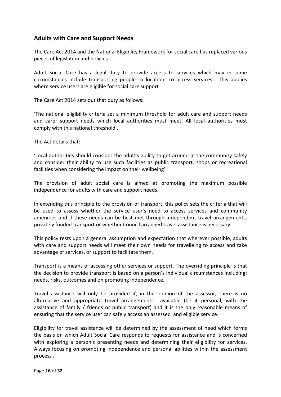## <span id="page-15-0"></span>**Adults with Care and Support Needs**

The Care Act 2014 and the National Eligibility Framework for social care has replaced various pieces of legislation and policies.

Adult Social Care has a legal duty to provide access to services which may in some circumstances include transporting people to locations to access services. This applies where service users are eligible for social care support

The Care Act 2014 sets out that duty as follows:

'The national eligibility criteria set a minimum threshold for adult care and support needs and carer support needs which local authorities must meet. All local authorities must comply with this national threshold'.

The Act details that:

'Local authorities should consider the adult's ability to get around in the community safely and consider their ability to use such facilities as public transport, shops or recreational facilities when considering the impact on their wellbeing'.

The provision of adult social care is aimed at promoting the maximum possible independence for adults with care and support needs.

In extending this principle to the provision of transport, this policy sets the criteria that will be used to assess whether the service user's need to access services and community amenities and if these needs can be best met through independent travel arrangements, privately funded transport or whether Council arranged travel assistance is necessary.

This policy rests upon a general assumption and expectation that wherever possible, adults with care and support needs will meet their own needs for travelleing to access and take advantage of services, or support to facilitate them.

Transport is a means of accessing other services or support. The overriding principle is that the decision to provide transport is based on a person's individual circumstances including: needs, risks, outcomes and on promoting independence.

Travel assistance will only be provided if, in the opinion of the assessor, there is no alternative and appropriate travel arrangements available (be it personal, with the assistance of family / friends or public transport) and it is the only reasonable means of ensuring that the service user can safely access an assessed and eligible service.

Eligibility for travel assistance will be determined by the assessment of need which forms the basis on which Adult Social Care responds to requests for assistance and is concerned with exploring a person's presenting needs and determining their eligibility for services. Always focusing on promoting independence and personal abilities within the assessment process .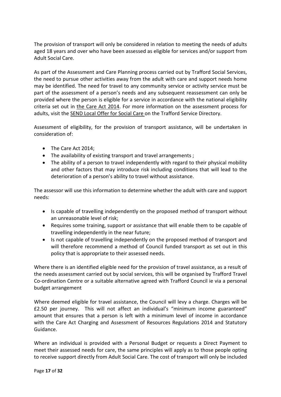The provision of transport will only be considered in relation to meeting the needs of adults aged 18 years and over who have been assessed as eligible for services and/or support from Adult Social Care.

As part of the Assessment and Care Planning process carried out by Trafford Social Services, the need to pursue other activities away from the adult with care and support needs home may be identified. The need for travel to any community service or activity service must be part of the assessment of a person's needs and any subsequent reassessment can only be provided where the person is eligible for a service in accordance with the national eligibility criteria set out in [the Care Act 2014.](http://www.legislation.gov.uk/ukpga/2014/23/contents/enacted/data.htm) For more information on the assessment process for adults, visit the [SEND Local Offer for Social Care o](http://www.trafforddirectory.co.uk/kb5/trafford/fsd/advice.page?id=OR36yqIoxxQ)n the Trafford Service Directory.

Assessment of eligibility, for the provision of transport assistance, will be undertaken in consideration of:

- The Care Act 2014;
- The availability of existing transport and travel arrangements ;
- The ability of a person to travel independently with regard to their physical mobility and other factors that may introduce risk including conditions that will lead to the deterioration of a person's ability to travel without assistance.

The assessor will use this information to determine whether the adult with care and support needs:

- Is capable of travelling independently on the proposed method of transport without an unreasonable level of risk;
- Requires some training, support or assistance that will enable them to be capable of travelling independently in the near future;
- Is not capable of travelling independently on the proposed method of transport and will therefore recommend a method of Council funded transport as set out in this policy that is appropriate to their assessed needs.

Where there is an identified eligible need for the provision of travel assistance, as a result of the needs assessment carried out by social services, this will be organised by Trafford Travel Co-ordination Centre or a suitable alternative agreed with Trafford Council ie via a personal budget arrangement

Where deemed eligible for travel assistance, the Council will levy a charge. Charges will be £2.50 per journey. This will not affect an individual's "minimum income guaranteed" amount that ensures that a person is left with a minimum level of income in accordance with the Care Act Charging and Assessment of Resources Regulations 2014 and Statutory Guidance.

Where an individual is provided with a Personal Budget or requests a Direct Payment to meet their assessed needs for care, the same principles will apply as to those people opting to receive support directly from Adult Social Care. The cost of transport will only be included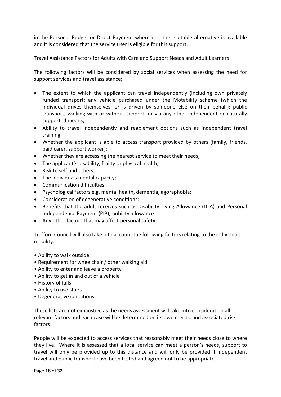in the Personal Budget or Direct Payment where no other suitable alternative is available and it is considered that the service user is eligible for this support.

#### <span id="page-17-0"></span>Travel Assistance Factors for Adults with Care and Support Needs and Adult Learners

The following factors will be considered by social services when assessing the need for support services and travel assistance;

- The extent to which the applicant can travel independently (including own privately funded transport; any vehicle purchased under the Motability scheme (which the individual drives themselves, or is driven by someone else on their behalf); public transport; walking with or without support; or via any other independent or naturally supported means;
- Ability to travel independently and reablement options such as independent travel training;
- Whether the applicant is able to access transport provided by others (family, friends, paid carer, support worker);
- Whether they are accessing the nearest service to meet their needs;
- The applicant's disability, frailty or physical health;
- Risk to self and others;
- The individuals mental capacity;
- Communication difficulties;
- Psychological factors e.g. mental health, dementia, agoraphobia;
- Consideration of degenerative conditions;
- Benefits that the adult receives such as Disability Living Allowance (DLA) and Personal Independence Payment (PIP),mobility allowance
- Any other factors that may affect personal safety

Trafford Council will also take into account the following factors relating to the individuals mobility:

- Ability to walk outside
- Requirement for wheelchair / other walking aid
- Ability to enter and leave a property
- Ability to get in and out of a vehicle
- History of falls
- Ability to use stairs
- Degenerative conditions

These lists are not exhaustive as the needs assessment will take into consideration all relevant factors and each case will be determined on its own merits, and associated risk factors.

People will be expected to access services that reasonably meet their needs close to where they live. Where it is assessed that a local service can meet a person's needs, support to travel will only be provided up to this distance and will only be provided if independent travel and public transport have been tested and agreed not to be appropriate.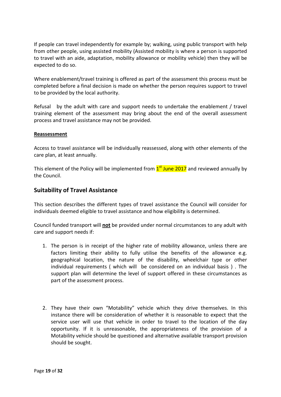If people can travel independently for example by; walking, using public transport with help from other people, using assisted mobility (Assisted mobility is where a person is supported to travel with an aide, adaptation, mobility allowance or mobility vehicle) then they will be expected to do so.

Where enablement/travel training is offered as part of the assessment this process must be completed before a final decision is made on whether the person requires support to travel to be provided by the local authority.

Refusal by the adult with care and support needs to undertake the enablement / travel training element of the assessment may bring about the end of the overall assessment process and travel assistance may not be provided.

#### <span id="page-18-0"></span>**Reassessment**

Access to travel assistance will be individually reassessed, along with other elements of the care plan, at least annually.

This element of the Policy will be implemented from  $1<sup>st</sup>$  June 2017 and reviewed annually by the Council.

## <span id="page-18-1"></span>**Suitability of Travel Assistance**

This section describes the different types of travel assistance the Council will consider for individuals deemed eligible to travel assistance and how eligibility is determined.

Council funded transport will **not** be provided under normal circumstances to any adult with care and support needs if:

- 1. The person is in receipt of the higher rate of mobility allowance, unless there are factors limiting their ability to fully utilise the benefits of the allowance e.g. geographical location, the nature of the disability, wheelchair type or other individual requirements ( which will be considered on an individual basis ) . The support plan will determine the level of support offered in these circumstances as part of the assessment process.
- 2. They have their own "Motability" vehicle which they drive themselves. In this instance there will be consideration of whether it is reasonable to expect that the service user will use that vehicle in order to travel to the location of the day opportunity. If it is unreasonable, the appropriateness of the provision of a Motability vehicle should be questioned and alternative available transport provision should be sought.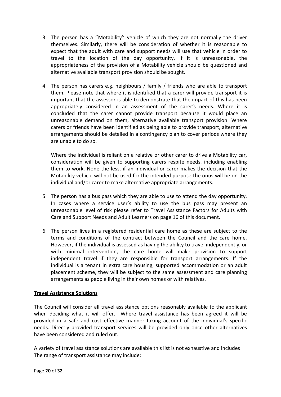- 3. The person has a ''Motability'' vehicle of which they are not normally the driver themselves. Similarly, there will be consideration of whether it is reasonable to expect that the adult with care and support needs will use that vehicle in order to travel to the location of the day opportunity. If it is unreasonable, the appropriateness of the provision of a Motability vehicle should be questioned and alternative available transport provision should be sought.
- 4. The person has carers e.g. neighbours / family / friends who are able to transport them. Please note that where it is identified that a carer will provide transport it is important that the assessor is able to demonstrate that the impact of this has been appropriately considered in an assessment of the carer's needs. Where it is concluded that the carer cannot provide transport because it would place an unreasonable demand on them, alternative available transport provision. Where carers or friends have been identified as being able to provide transport, alternative arrangements should be detailed in a contingency plan to cover periods where they are unable to do so.

Where the individual is reliant on a relative or other carer to drive a Motability car, consideration will be given to supporting carers respite needs, including enabling them to work. None the less, if an individual or carer makes the decision that the Motability vehicle will not be used for the intended purpose the onus will be on the individual and/or carer to make alternative appropriate arrangements.

- 5. The person has a bus pass which they are able to use to attend the day opportunity. In cases where a service user's ability to use the bus pass may present an unreasonable level of risk please refer to Travel Assistance Factors for Adults with Care and Support Needs and Adult Learners on page 16 of this document.
- 6. The person lives in a registered residential care home as these are subject to the terms and conditions of the contract between the Council and the care home. However, if the individual is assessed as having the ability to travel independently, or with minimal intervention, the care home will make provision to support independent travel if they are responsible for transport arrangements. If the individual is a tenant in extra care housing, supported accommodation or an adult placement scheme, they will be subject to the same assessment and care planning arrangements as people living in their own homes or with relatives.

#### **Travel Assistance Solutions**

The Council will consider all travel assistance options reasonably available to the applicant when deciding what it will offer. Where travel assistance has been agreed it will be provided in a safe and cost effective manner taking account of the individual's specific needs. Directly provided transport services will be provided only once other alternatives have been considered and ruled out.

A variety of travel assistance solutions are available this list is not exhaustive and includes The range of transport assistance may include: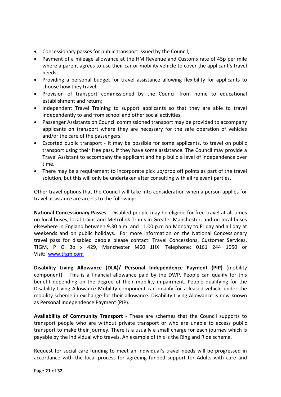- Concessionary passes for public transport issued by the Council;
- Payment of a mileage allowance at the HM Revenue and Customs rate of 45p per mile where a parent agrees to use their car or mobility vehicle to cover the applicant's travel needs;
- Providing a personal budget for travel assistance allowing flexibility for applicants to choose how they travel;
- Provision of transport commissioned by the Council from home to educational establishment and return;
- Independent Travel Training to support applicants so that they are able to travel independently to and from school and other social activities.
- Passenger Assistants on Council commissioned transport may be provided to accompany applicants on transport where they are necessary for the safe operation of vehicles and/or the care of the passengers.
- Escorted public transport It may be possible for some applicants, to travel on public transport using their free pass, if they have some assistance. The Council may provide a Travel Assistant to accompany the applicant and help build a level of independence over time.
- There may be a requirement to incorporate pick up/drop off points as part of the travel solution, but this will only be undertaken after consulting with all relevant parties.

Other travel options that the Council will take into consideration when a person applies for travel assistance are access to the following:

**National Concessionary Passes** - Disabled people may be eligible for free travel at all times on local buses, local trains and Metrolink Trams in Greater Manchester, and on local buses elsewhere in England between 9.30 a.m. and 11.00 p.m on Monday to Friday and all day at weekends and on public holidays. For more information on the National Concessionary travel pass for disabled people please contact: Travel Concessions, Customer Services, TfGM, P O Bo x 429, Manchester M60 1HX Telephone: 0161 244 1050 or Visit: [www.tfgm.com](http://www.tfgm.com/)

**Disability Living Allowance (DLA)/ Personal Independence Payment (PIP)** (mobility component) – This is a financial allowance paid by the DWP. People can qualify for this benefit depending on the degree of their mobility impairment. People qualifying for the Disability Living Allowance Mobility component can qualify for a leased vehicle under the mobility scheme in exchange for their allowance. Disability Living Allowance is now known as Personal Independence Payment (PIP).

**Availability of Community Transport** - These are schemes that the Council supports to transport people who are without private transport or who are unable to access public transport to make their journey. There is a usually a small charge for each journey which is payable by the individual who travels. An example of this is the Ring and Ride scheme.

Request for social care funding to meet an individual's travel needs will be progressed in accordance with the local process for agreeing funded support for Adults with care and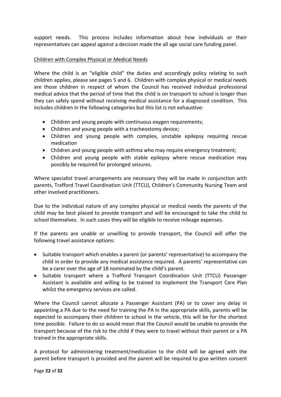support needs. This process includes information about how individuals or their representatives can appeal against a decision made the all age social care funding panel.

#### <span id="page-21-0"></span>Children with Complex Physical or Medical Needs

Where the child is an "eligible child" the duties and accordingly policy relating to such children applies, please see pages 5 and 6. Children with complex physical or medical needs are those children in respect of whom the Council has received individual professional medical advice that the period of time that the child is on transport to school is longer than they can safely spend without receiving medical assistance for a diagnosed condition. This includes children in the following categories but this list is not exhaustive:

- Children and young people with continuous oxygen requirements;
- Children and young people with a tracheostomy device;
- Children and young people with complex, unstable epilepsy requiring rescue medication
- Children and young people with asthma who may require emergency treatment;
- Children and young people with stable epilepsy where rescue medication may possibly be required for prolonged seizures.

Where specialist travel arrangements are necessary they will be made in conjunction with parents, Trafford Travel Coordination Unit (TTCU), Children's Community Nursing Team and other involved practitioners.

Due to the individual nature of any complex physical or medical needs the parents of the child may be best placed to provide transport and will be encouraged to take the child to school themselves. In such cases they will be eligible to receive mileage expenses.

If the parents are unable or unwilling to provide transport, the Council will offer the following travel assistance options:

- Suitable transport which enables a parent (or parents' representative) to accompany the child in order to provide any medical assistance required. A parents' representative can be a carer over the age of 18 nominated by the child's parent.
- Suitable transport where a Trafford Transport Coordination Unit (TTCU) Passenger Assistant is available and willing to be trained to implement the Transport Care Plan whilst the emergency services are called.

Where the Council cannot allocate a Passenger Assistant (PA) or to cover any delay in appointing a PA due to the need for training the PA in the appropriate skills, parents will be expected to accompany their children to school in the vehicle, this will be for the shortest time possible. Failure to do so would mean that the Council would be unable to provide the transport because of the risk to the child if they were to travel without their parent or a PA trained in the appropriate skills.

A protocol for administering treatment/medication to the child will be agreed with the parent before transport is provided and the parent will be required to give written consent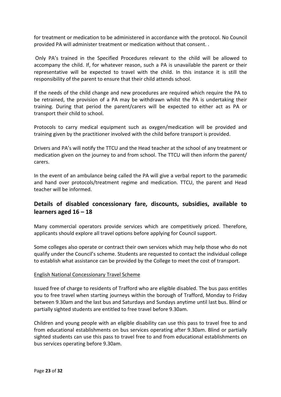for treatment or medication to be administered in accordance with the protocol. No Council provided PA will administer treatment or medication without that consent. .

Only PA's trained in the Specified Procedures relevant to the child will be allowed to accompany the child. If, for whatever reason, such a PA is unavailable the parent or their representative will be expected to travel with the child. In this instance it is still the responsibility of the parent to ensure that their child attends school.

If the needs of the child change and new procedures are required which require the PA to be retrained, the provision of a PA may be withdrawn whilst the PA is undertaking their training. During that period the parent/carers will be expected to either act as PA or transport their child to school.

Protocols to carry medical equipment such as oxygen/medication will be provided and training given by the practitioner involved with the child before transport is provided.

Drivers and PA's will notify the TTCU and the Head teacher at the school of any treatment or medication given on the journey to and from school. The TTCU will then inform the parent/ carers.

In the event of an ambulance being called the PA will give a verbal report to the paramedic and hand over protocols/treatment regime and medication. TTCU, the parent and Head teacher will be informed.

## <span id="page-22-0"></span>**Details of disabled concessionary fare, discounts, subsidies, available to learners aged 16 – 18**

Many commercial operators provide services which are competitively priced. Therefore, applicants should explore all travel options before applying for Council support.

Some colleges also operate or contract their own services which may help those who do not qualify under the Council's scheme. Students are requested to contact the individual college to establish what assistance can be provided by the College to meet the cost of transport.

## <span id="page-22-1"></span>English National Concessionary Travel Scheme

Issued free of charge to residents of Trafford who are eligible disabled. The bus pass entitles you to free travel when starting journeys within the borough of Trafford, Monday to Friday between 9.30am and the last bus and Saturdays and Sundays anytime until last bus. Blind or partially sighted students are entitled to free travel before 9.30am.

Children and young people with an eligible disability can use this pass to travel free to and from educational establishments on bus services operating after 9.30am. Blind or partially sighted students can use this pass to travel free to and from educational establishments on bus services operating before 9.30am.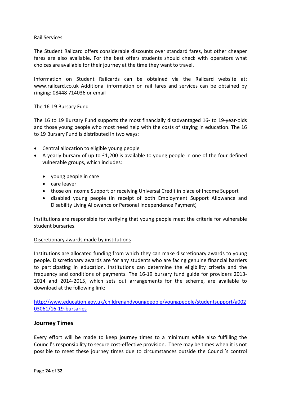#### <span id="page-23-0"></span>Rail Services

The Student Railcard offers considerable discounts over standard fares, but other cheaper fares are also available. For the best offers students should check with operators what choices are available for their journey at the time they want to travel.

Information on Student Railcards can be obtained via the Railcard website at: www.railcard.co.uk Additional information on rail fares and services can be obtained by ringing: 08448 714036 or email

#### <span id="page-23-1"></span>The 16-19 Bursary Fund

The 16 to 19 Bursary Fund supports the most financially disadvantaged 16- to 19-year-olds and those young people who most need help with the costs of staying in education. The 16 to 19 Bursary Fund is distributed in two ways:

- Central allocation to eligible young people
- A yearly bursary of up to £1,200 is available to young people in one of the four defined vulnerable groups, which includes:
	- young people in care
	- care leaver
	- those on Income Support or receiving Universal Credit in place of Income Support
	- disabled young people (in receipt of both Employment Support Allowance and Disability Living Allowance or Personal Independence Payment)

Institutions are responsible for verifying that young people meet the criteria for vulnerable student bursaries.

#### <span id="page-23-2"></span>Discretionary awards made by institutions

Institutions are allocated funding from which they can make discretionary awards to young people. Discretionary awards are for any students who are facing genuine financial barriers to participating in education. Institutions can determine the eligibility criteria and the frequency and conditions of payments. The 16-19 bursary fund guide for providers 2013- 2014 and 2014-2015, which sets out arrangements for the scheme, are available to download at the following link:

[http://www.education.gov.uk/childrenandyoungpeople/youngpeople/studentsupport/a002](http://www.education.gov.uk/childrenandyoungpeople/youngpeople/studentsupport/a00203061/16-19-bursaries) [03061/16-19-bursaries](http://www.education.gov.uk/childrenandyoungpeople/youngpeople/studentsupport/a00203061/16-19-bursaries)

### <span id="page-23-3"></span>**Journey Times**

Every effort will be made to keep journey times to a minimum while also fulfilling the Council's responsibility to secure cost-effective provision. There may be times when it is not possible to meet these journey times due to circumstances outside the Council's control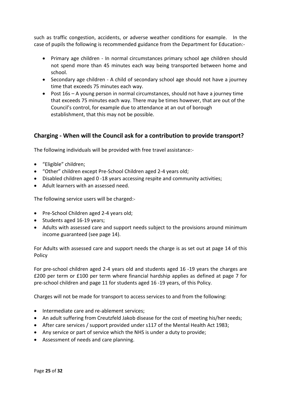such as traffic congestion, accidents, or adverse weather conditions for example. In the case of pupils the following is recommended guidance from the Department for Education:-

- Primary age children In normal circumstances primary school age children should not spend more than 45 minutes each way being transported between home and school.
- Secondary age children A child of secondary school age should not have a journey time that exceeds 75 minutes each way.
- Post 16s A young person in normal circumstances, should not have a journey time that exceeds 75 minutes each way. There may be times however, that are out of the Council's control, for example due to attendance at an out of borough establishment, that this may not be possible.

## <span id="page-24-0"></span>**Charging - When will the Council ask for a contribution to provide transport?**

The following individuals will be provided with free travel assistance:-

- "Eligible" children;
- "Other" children except Pre-School Children aged 2-4 years old;
- Disabled children aged 0 -18 years accessing respite and community activities;
- Adult learners with an assessed need.

The following service users will be charged:-

- Pre-School Children aged 2-4 years old;
- Students aged 16-19 years;
- Adults with assessed care and support needs subject to the provisions around minimum income guaranteed (see page 14).

For Adults with assessed care and support needs the charge is as set out at page 14 of this Policy

For pre-school children aged 2-4 years old and students aged 16 -19 years the charges are £200 per term or £100 per term where financial hardship applies as defined at page 7 for pre-school children and page 11 for students aged 16 -19 years, of this Policy.

Charges will not be made for transport to access services to and from the following:

- Intermediate care and re-ablement services;
- An adult suffering from Creutzfeld Jakob disease for the cost of meeting his/her needs;
- After care services / support provided under s117 of the Mental Health Act 1983;
- Any service or part of service which the NHS is under a duty to provide;
- Assessment of needs and care planning.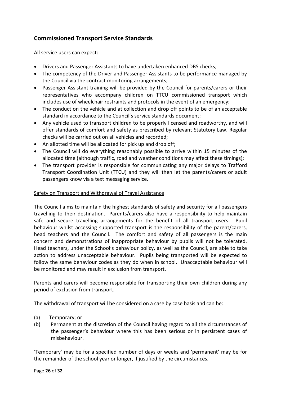# <span id="page-25-0"></span>**Commissioned Transport Service Standards**

All service users can expect:

- Drivers and Passenger Assistants to have undertaken enhanced DBS checks;
- The competency of the Driver and Passenger Assistants to be performance managed by the Council via the contract monitoring arrangements;
- Passenger Assistant training will be provided by the Council for parents/carers or their representatives who accompany children on TTCU commissioned transport which includes use of wheelchair restraints and protocols in the event of an emergency;
- The conduct on the vehicle and at collection and drop off points to be of an acceptable standard in accordance to the Council's service standards document;
- Any vehicle used to transport children to be properly licensed and roadworthy, and will offer standards of comfort and safety as prescribed by relevant Statutory Law. Regular checks will be carried out on all vehicles and recorded;
- An allotted time will be allocated for pick up and drop off;
- The Council will do everything reasonably possible to arrive within 15 minutes of the allocated time (although traffic, road and weather conditions may affect these timings);
- The transport provider is responsible for communicating any major delays to Trafford Transport Coordination Unit (TTCU) and they will then let the parents/carers or adult passengers know via a text messaging service.

### <span id="page-25-1"></span>Safety on Transport and Withdrawal of Travel Assistance

The Council aims to maintain the highest standards of safety and security for all passengers travelling to their destination. Parents/carers also have a responsibility to help maintain safe and secure travelling arrangements for the benefit of all transport users. Pupil behaviour whilst accessing supported transport is the responsibility of the parent/carers, head teachers and the Council. The comfort and safety of all passengers is the main concern and demonstrations of inappropriate behaviour by pupils will not be tolerated. Head teachers, under the School's behaviour policy, as well as the Council, are able to take action to address unacceptable behaviour. Pupils being transported will be expected to follow the same behaviour codes as they do when in school. Unacceptable behaviour will be monitored and may result in exclusion from transport.

Parents and carers will become responsible for transporting their own children during any period of exclusion from transport.

The withdrawal of transport will be considered on a case by case basis and can be:

- (a) Temporary; or
- (b) Permanent at the discretion of the Council having regard to all the circumstances of the passenger's behaviour where this has been serious or in persistent cases of misbehaviour.

'Temporary' may be for a specified number of days or weeks and 'permanent' may be for the remainder of the school year or longer, if justified by the circumstances.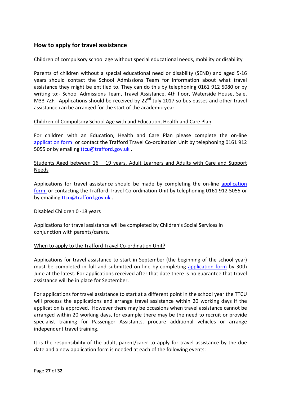## <span id="page-26-0"></span>**How to apply for travel assistance**

#### <span id="page-26-1"></span>Children of compulsory school age without special educational needs, mobility or disability

Parents of children without a special educational need or disability (SEND) and aged 5-16 years should contact the School Admissions Team for information about what travel assistance they might be entitled to. They can do this by telephoning 0161 912 5080 or by writing to:- School Admissions Team, Travel Assistance, 4th floor, Waterside House, Sale, M33 7ZF. Applications should be received by  $22^{nd}$  July 2017 so bus passes and other travel assistance can be arranged for the start of the academic year.

#### <span id="page-26-2"></span>Children of Compulsory School Age with and Education, Health and Care Plan

For children with an Education, Health and Care Plan please complete the on-line [application form](https://www.trafford.gov.uk/residents/schools/school-transport/secure/travel-assistance-request-application-form.aspx) or contact the Trafford Travel Co-ordination Unit by telephoning 0161 912 5055 or by emailing [ttcu@trafford.gov.uk](mailto:ttcu@trafford.gov.uk).

## Students Aged between 16 – 19 years, Adult Learners and Adults with Care and Support **Needs**

Applications for travel assistance should be made by completing the on-line [application](https://www.trafford.gov.uk/residents/schools/school-transport/secure/travel-assistance-request-application-form.aspx)  [form](https://www.trafford.gov.uk/residents/schools/school-transport/secure/travel-assistance-request-application-form.aspx) or contacting the Trafford Travel Co-ordination Unit by telephoning 0161 912 5055 or by emailin[g ttcu@trafford.gov.uk](mailto:ttcu@trafford.gov.uk) .

#### Disabled Children 0 -18 years

Applications for travel assistance will be completed by Children's Social Services in conjunction with parents/carers.

#### <span id="page-26-3"></span>When to apply to the Trafford Travel Co-ordination Unit?

Applications for travel assistance to start in September (the beginning of the school year) must be completed in full and submitted on line by completing [application form](https://www.trafford.gov.uk/residents/schools/school-transport/secure/travel-assistance-request-application-form.aspx) by 30th June at the latest. For applications received after that date there is no guarantee that travel assistance will be in place for September.

For applications for travel assistance to start at a different point in the school year the TTCU will process the applications and arrange travel assistance within 20 working days if the application is approved. However there may be occasions when travel assistance cannot be arranged within 20 working days, for example there may be the need to recruit or provide specialist training for Passenger Assistants, procure additional vehicles or arrange independent travel training.

It is the responsibility of the adult, parent/carer to apply for travel assistance by the due date and a new application form is needed at each of the following events: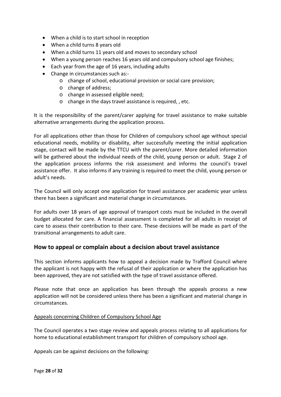- When a child is to start school in reception
- When a child turns 8 years old
- When a child turns 11 years old and moves to secondary school
- When a young person reaches 16 years old and compulsory school age finishes;
- Each year from the age of 16 years, including adults
- Change in circumstances such as:
	- o change of school, educational provision or social care provision;
	- o change of address;
	- o change in assessed eligible need;
	- o change in the days travel assistance is required, , etc.

It is the responsibility of the parent/carer applying for travel assistance to make suitable alternative arrangements during the application process.

For all applications other than those for Children of compulsory school age without special educational needs, mobility or disability, after successfully meeting the initial application stage, contact will be made by the TTCU with the parent/carer. More detailed information will be gathered about the individual needs of the child, young person or adult. Stage 2 of the application process informs the risk assessment and informs the council's travel assistance offer. It also informs if any training is required to meet the child, young person or adult's needs.

The Council will only accept one application for travel assistance per academic year unless there has been a significant and material change in circumstances.

For adults over 18 years of age approval of transport costs must be included in the overall budget allocated for care. A financial assessment is completed for all adults in receipt of care to assess their contribution to their care. These decisions will be made as part of the transitional arrangements to adult care.

### <span id="page-27-0"></span>**How to appeal or complain about a decision about travel assistance**

This section informs applicants how to appeal a decision made by Trafford Council where the applicant is not happy with the refusal of their application or where the application has been approved, they are not satisfied with the type of travel assistance offered.

Please note that once an application has been through the appeals process a new application will not be considered unless there has been a significant and material change in circumstances.

#### <span id="page-27-1"></span>Appeals concerning Children of Compulsory School Age

The Council operates a two stage review and appeals process relating to all applications for home to educational establishment transport for children of compulsory school age.

Appeals can be against decisions on the following: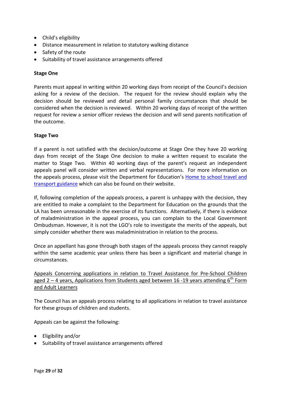- Child's eligibility
- Distance measurement in relation to statutory walking distance
- Safety of the route
- Suitability of travel assistance arrangements offered

#### <span id="page-28-0"></span>**Stage One**

Parents must appeal in writing within 20 working days from receipt of the Council's decision asking for a review of the decision. The request for the review should explain why the decision should be reviewed and detail personal family circumstances that should be considered when the decision is reviewed. Within 20 working days of receipt of the written request for review a senior officer reviews the decision and will send parents notification of the outcome.

#### <span id="page-28-1"></span>**Stage Two**

If a parent is not satisfied with the decision/outcome at Stage One they have 20 working days from receipt of the Stage One decision to make a written request to escalate the matter to Stage Two. Within 40 working days of the parent's request an independent appeals panel will consider written and verbal representations. For more information on the appeals process, please visit the Department for Education's [Home to school travel and](https://www.gov.uk/government/publications/home-to-school-travel-and-transport-guidance)  [transport guidance](https://www.gov.uk/government/publications/home-to-school-travel-and-transport-guidance) which can also be found on their website.

If, following completion of the appeals process, a parent is unhappy with the decision, they are entitled to make a complaint to the Department for Education on the grounds that the LA has been unreasonable in the exercise of its functions. Alternatively, if there is evidence of maladministration in the appeal process, you can complain to the Local Government Ombudsman. However, it is not the LGO's role to investigate the merits of the appeals, but simply consider whether there was maladministration in relation to the process.

Once an appellant has gone through both stages of the appeals process they cannot reapply within the same academic year unless there has been a significant and material change in circumstances.

<span id="page-28-2"></span>Appeals Concerning applications in relation to Travel Assistance for Pre-School Children aged  $2 - 4$  years, Applications from Students aged between 16-19 years attending  $6^{th}$  Form and Adult Learners

The Council has an appeals process relating to all applications in relation to travel assistance for these groups of children and students.

Appeals can be against the following:

- Eligibility and/or
- Suitability of travel assistance arrangements offered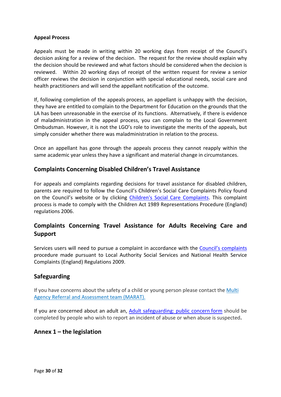#### <span id="page-29-0"></span>**Appeal Process**

Appeals must be made in writing within 20 working days from receipt of the Council's decision asking for a review of the decision. The request for the review should explain why the decision should be reviewed and what factors should be considered when the decision is reviewed. Within 20 working days of receipt of the written request for review a senior officer reviews the decision in conjunction with special educational needs, social care and health practitioners and will send the appellant notification of the outcome.

If, following completion of the appeals process, an appellant is unhappy with the decision, they have are entitled to complain to the Department for Education on the grounds that the LA has been unreasonable in the exercise of its functions. Alternatively, if there is evidence of maladministration in the appeal process, you can complain to the Local Government Ombudsman. However, it is not the LGO's role to investigate the merits of the appeals, but simply consider whether there was maladministration in relation to the process.

Once an appellant has gone through the appeals process they cannot reapply within the same academic year unless they have a significant and material change in circumstances.

## <span id="page-29-1"></span>**Complaints Concerning Disabled Children's Travel Assistance**

For appeals and complaints regarding decisions for travel assistance for disabled children, parents are required to follow the Council's Children's Social Care Complaints Policy found on the Council's website or by clicking [Children's Social Care Complaints.](http://www.trafford.gov.uk/about-your-council/complaints/childrens-social-care-complaints.aspx) This complaint process is made to comply with the Children Act 1989 Representations Procedure (England) regulations 2006.

## <span id="page-29-2"></span>**Complaints Concerning Travel Assistance for Adults Receiving Care and Support**

Services users will need to pursue a complaint in accordance with the [Council's complaints](http://www.trafford.gov.uk/about-your-council/complaints/adult-social-care-complaints-procedure.aspx) procedure made pursuant to Local Authority Social Services and National Health Service Complaints (England) Regulations 2009.

## <span id="page-29-3"></span>**Safeguarding**

If you have concerns about the safety of a child or young person please contact the [Multi](http://www.trafforddirectory.co.uk/kb5/trafford/fsd/service.page?id=ZCYE1Cn8vcM&familychannel=2600-4)  [Agency Referral and Assessment team \(MARAT\).](http://www.trafforddirectory.co.uk/kb5/trafford/fsd/service.page?id=ZCYE1Cn8vcM&familychannel=2600-4)

If you are concerned about an adult an, [Adult safeguarding: public concern](https://search3.openobjects.com/mediamanager/trafford/fsd/files/public_concern_form_may16.docx) form should be completed by people who wish to report an incident of abuse or when abuse is suspected**.**

## <span id="page-29-4"></span>**Annex 1 – the legislation**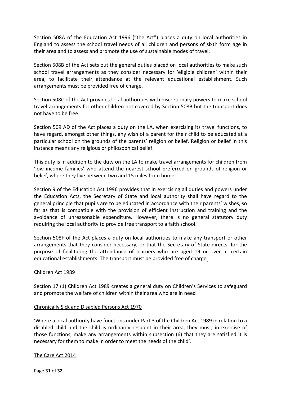Section 508A of the Education Act 1996 ("the Act") places a duty on local authorities in England to assess the school travel needs of all children and persons of sixth form age in their area and to assess and promote the use of sustainable modes of travel.

Section 508B of the Act sets out the general duties placed on local authorities to make such school travel arrangements as they consider necessary for 'eligible children' within their area, to facilitate their attendance at the relevant educational establishment. Such arrangements must be provided free of charge.

Section 508C of the Act provides local authorities with discretionary powers to make school travel arrangements for other children not covered by Section 508B but the transport does not have to be free.

Section 509 AD of the Act places a duty on the LA, when exercising its travel functions, to have regard, amongst other things, any wish of a parent for their child to be educated at a particular school on the grounds of the parents' religion or belief. Religion or belief in this instance means any religious or philosophical belief.

This duty is in addition to the duty on the LA to make travel arrangements for children from 'low income families' who attend the nearest school preferred on grounds of religion or belief, where they live between two and 15 miles from home.

Section 9 of the Education Act 1996 provides that in exercising all duties and powers under the Education Acts, the Secretary of State and local authority shall have regard to the general principle that pupils are to be educated in accordance with their parents' wishes, so far as that is compatible with the provision of efficient instruction and training and the avoidance of unreasonable expenditure. However, there is no general statutory duty requiring the local authority to provide free transport to a faith school.

Section 508F of the Act places a duty on local authorities to make any transport or other arrangements that they consider necessary, or that the Secretary of State directs, for the purpose of facilitating the attendance of learners who are aged 19 or over at certain educational establishments. The transport must be provided free of charge.

#### Children Act 1989

Section 17 (1) Children Act 1989 creates a general duty on Children's Services to safeguard and promote the welfare of children within their area who are in need

#### Chronically Sick and Disabled Persons Act 1970

'Where a local authority have functions under Part 3 of the Children Act 1989 in relation to a disabled child and the child is ordinarily resident in their area, they must, in exercise of those functions, make any arrangements within subsection (6) that they are satisfied it is necessary for them to make in order to meet the needs of the child'.

#### The Care Act 2014